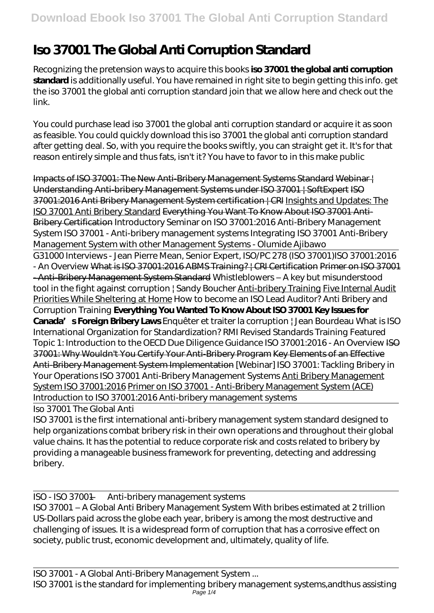## **Iso 37001 The Global Anti Corruption Standard**

Recognizing the pretension ways to acquire this books **iso 37001 the global anti corruption standard** is additionally useful. You have remained in right site to begin getting this info. get the iso 37001 the global anti corruption standard join that we allow here and check out the link.

You could purchase lead iso 37001 the global anti corruption standard or acquire it as soon as feasible. You could quickly download this iso 37001 the global anti corruption standard after getting deal. So, with you require the books swiftly, you can straight get it. It's for that reason entirely simple and thus fats, isn't it? You have to favor to in this make public

Impacts of ISO 37001: The New Anti-Bribery Management Systems Standard Webinar | Understanding Anti-bribery Management Systems under ISO 37001 | SoftExpert ISO 37001:2016 Anti Bribery Management System certification | CRI Insights and Updates: The ISO 37001 Anti Bribery Standard Everything You Want To Know About ISO 37001 Anti-Bribery Certification Introductory Seminar on ISO 37001:2016 Anti-Bribery Management System ISO 37001 - Anti-bribery management systems Integrating ISO 37001 Anti-Bribery Management System with other Management Systems - Olumide Ajibawo

G31000 Interviews - Jean Pierre Mean, Senior Expert, ISO/PC 278 (ISO 37001)*ISO 37001:2016 - An Overview* What is ISO 37001:2016 ABMS Training? | CRI Certification Primer on ISO 37001 - Anti-Bribery Management System Standard *Whistleblowers – A key but misunderstood tool in the fight against corruption | Sandy Boucher* Anti-bribery Training Five Internal Audit Priorities While Sheltering at Home *How to become an ISO Lead Auditor? Anti Bribery and Corruption Training* **Everything You Wanted To Know About ISO 37001 Key Issues for Canada's Foreign Bribery Laws** Enquêter et traiter la corruption | Jean Bourdeau What is ISO International Organization for Standardization? RMI Revised Standards Training Featured Topic 1: Introduction to the OECD Due Diligence Guidance *ISO 37001:2016 - An Overview* ISO 37001: Why Wouldn't You Certify Your Anti-Bribery Program Key Elements of an Effective Anti-Bribery Management System Implementation *[Webinar] ISO 37001: Tackling Bribery in Your Operations* ISO 37001 Anti-Bribery Management Systems Anti Bribery Management System ISO 37001:2016 Primer on ISO 37001 - Anti-Bribery Management System (ACE) *Introduction to ISO 37001:2016 Anti-bribery management systems*

Iso 37001 The Global Anti

ISO 37001 is the first international anti-bribery management system standard designed to help organizations combat bribery risk in their own operations and throughout their global value chains. It has the potential to reduce corporate risk and costs related to bribery by providing a manageable business framework for preventing, detecting and addressing bribery.

ISO - ISO 37001 — Anti-bribery management systems

ISO 37001 – A Global Anti Bribery Management System With bribes estimated at 2 trillion US-Dollars paid across the globe each year, bribery is among the most destructive and challenging of issues. It is a widespread form of corruption that has a corrosive effect on society, public trust, economic development and, ultimately, quality of life.

ISO 37001 is the standard for implementing bribery management systems,andthus assisting Page  $1/4$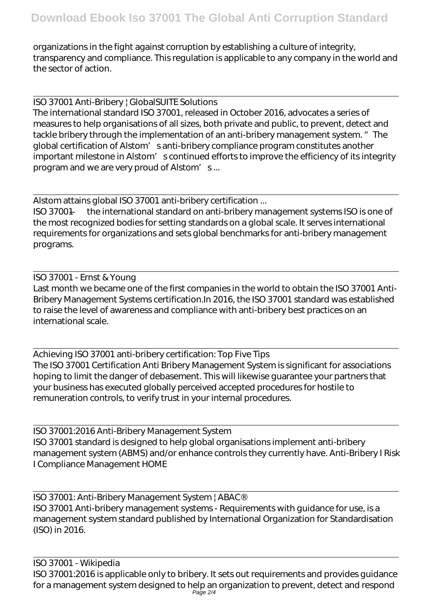organizations in the fight against corruption by establishing a culture of integrity, transparency and compliance. This regulation is applicable to any company in the world and the sector of action.

ISO 37001 Anti-Bribery | GlobalSUITE Solutions

The international standard ISO 37001, released in October 2016, advocates a series of measures to help organisations of all sizes, both private and public, to prevent, detect and tackle bribery through the implementation of an anti-bribery management system. " The global certification of Alstom' santi-bribery compliance program constitutes another important milestone in Alstom' scontinued efforts to improve the efficiency of its integrity program and we are very proud of Alstom' s...

Alstom attains global ISO 37001 anti-bribery certification ...

ISO 37001 — the international standard on anti-bribery management systems ISO is one of the most recognized bodies for setting standards on a global scale. It serves international requirements for organizations and sets global benchmarks for anti-bribery management programs.

ISO 37001 - Ernst & Young Last month we became one of the first companies in the world to obtain the ISO 37001 Anti-Bribery Management Systems certification.In 2016, the ISO 37001 standard was established to raise the level of awareness and compliance with anti-bribery best practices on an international scale.

Achieving ISO 37001 anti-bribery certification: Top Five Tips The ISO 37001 Certification Anti Bribery Management System is significant for associations hoping to limit the danger of debasement. This will likewise guarantee your partners that your business has executed globally perceived accepted procedures for hostile to remuneration controls, to verify trust in your internal procedures.

ISO 37001:2016 Anti-Bribery Management System ISO 37001 standard is designed to help global organisations implement anti-bribery management system (ABMS) and/or enhance controls they currently have. Anti-Bribery I Risk I Compliance Management HOME

ISO 37001: Anti-Bribery Management System | ABAC® ISO 37001 Anti-bribery management systems - Requirements with guidance for use, is a management system standard published by International Organization for Standardisation (ISO) in 2016.

ISO 37001 - Wikipedia ISO 37001:2016 is applicable only to bribery. It sets out requirements and provides guidance for a management system designed to help an organization to prevent, detect and respond Page 2/4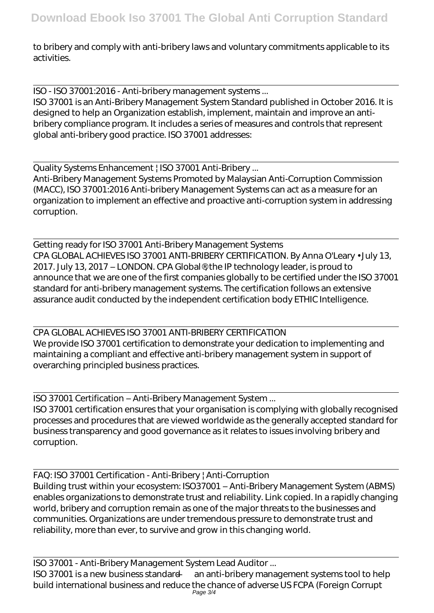to bribery and comply with anti-bribery laws and voluntary commitments applicable to its activities.

ISO - ISO 37001:2016 - Anti-bribery management systems ...

ISO 37001 is an Anti-Bribery Management System Standard published in October 2016. It is designed to help an Organization establish, implement, maintain and improve an antibribery compliance program. It includes a series of measures and controls that represent global anti-bribery good practice. ISO 37001 addresses:

Quality Systems Enhancement | ISO 37001 Anti-Bribery ...

Anti-Bribery Management Systems Promoted by Malaysian Anti-Corruption Commission (MACC), ISO 37001:2016 Anti-bribery Management Systems can act as a measure for an organization to implement an effective and proactive anti-corruption system in addressing corruption.

Getting ready for ISO 37001 Anti-Bribery Management Systems CPA GLOBAL ACHIEVES ISO 37001 ANTI-BRIBERY CERTIFICATION. By Anna O'Leary • July 13, 2017. July 13, 2017 – LONDON. CPA Global®, the IP technology leader, is proud to announce that we are one of the first companies globally to be certified under the ISO 37001 standard for anti-bribery management systems. The certification follows an extensive assurance audit conducted by the independent certification body ETHIC Intelligence.

CPA GLOBAL ACHIEVES ISO 37001 ANTI-BRIBERY CERTIFICATION We provide ISO 37001 certification to demonstrate your dedication to implementing and maintaining a compliant and effective anti-bribery management system in support of overarching principled business practices.

ISO 37001 Certification – Anti-Bribery Management System ...

ISO 37001 certification ensures that your organisation is complying with globally recognised processes and procedures that are viewed worldwide as the generally accepted standard for business transparency and good governance as it relates to issues involving bribery and corruption.

FAQ: ISO 37001 Certification - Anti-Bribery | Anti-Corruption Building trust within your ecosystem: ISO37001 – Anti-Bribery Management System (ABMS) enables organizations to demonstrate trust and reliability. Link copied. In a rapidly changing world, bribery and corruption remain as one of the major threats to the businesses and communities. Organizations are under tremendous pressure to demonstrate trust and reliability, more than ever, to survive and grow in this changing world.

ISO 37001 - Anti-Bribery Management System Lead Auditor ... ISO 37001 is a new business standard — an anti-bribery management systems tool to help build international business and reduce the chance of adverse US FCPA (Foreign Corrupt Page 3/4